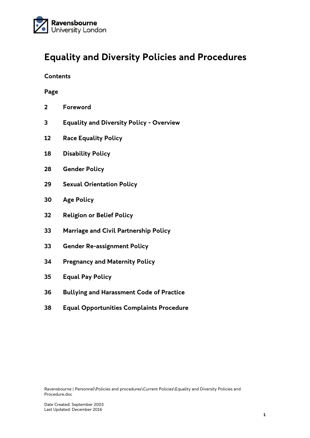

# **Equality and Diversity Policies and Procedures**

#### **Contents**

#### **Page**

- **Foreword**
- **Equality and Diversity Policy - Overview**
- **Race Equality Policy**
- **Disability Policy**
- **Gender Policy**
- **Sexual Orientation Policy**
- **30 Age Policy**
- **Religion or Belief Policy**
- **Marriage and Civil Partnership Policy**
- **Gender Re-assignment Policy**
- **Pregnancy and Maternity Policy**
- **Equal Pay Policy**
- **Bullying and Harassment Code of Practice**
- **Equal Opportunities Complaints Procedure**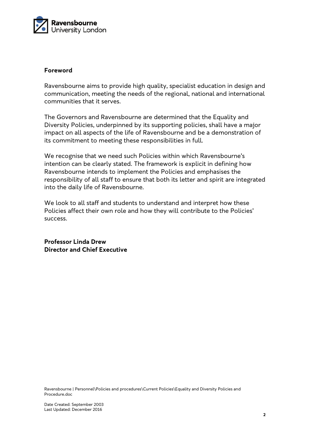

#### **Foreword**

Ravensbourne aims to provide high quality, specialist education in design and communication, meeting the needs of the regional, national and international communities that it serves.

The Governors and Ravensbourne are determined that the Equality and Diversity Policies, underpinned by its supporting policies, shall have a major impact on all aspects of the life of Ravensbourne and be a demonstration of its commitment to meeting these responsibilities in full.

We recognise that we need such Policies within which Ravensbourne's intention can be clearly stated. The framework is explicit in defining how Ravensbourne intends to implement the Policies and emphasises the responsibility of all staff to ensure that both its letter and spirit are integrated into the daily life of Ravensbourne.

We look to all staff and students to understand and interpret how these Policies affect their own role and how they will contribute to the Policies' success.

**Professor Linda Drew Director and Chief Executive**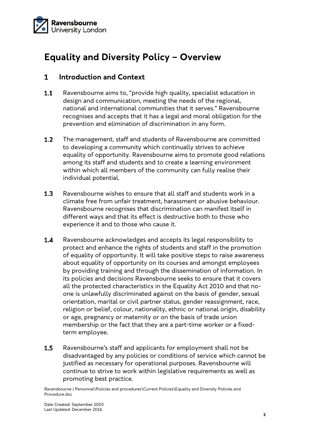

# **Equality and Diversity Policy – Overview**

#### $\mathbf{1}$ **Introduction and Context**

- $1.1$ Ravensbourne aims to, "provide high quality, specialist education in design and communication, meeting the needs of the regional, national and international communities that it serves." Ravensbourne recognises and accepts that it has a legal and moral obligation for the prevention and elimination of discrimination in any form.
- $1.2$ The management, staff and students of Ravensbourne are committed to developing a community which continually strives to achieve equality of opportunity. Ravensbourne aims to promote good relations among its staff and students and to create a learning environment within which all members of the community can fully realise their individual potential.
- $1.3$ Ravensbourne wishes to ensure that all staff and students work in a climate free from unfair treatment, harassment or abusive behaviour. Ravensbourne recognises that discrimination can manifest itself in different ways and that its effect is destructive both to those who experience it and to those who cause it.
- $1.4$ Ravensbourne acknowledges and accepts its legal responsibility to protect and enhance the rights of students and staff in the promotion of equality of opportunity. It will take positive steps to raise awareness about equality of opportunity on its courses and amongst employees by providing training and through the dissemination of information. In its policies and decisions Ravensbourne seeks to ensure that it covers all the protected characteristics in the Equality Act 2010 and that noone is unlawfully discriminated against on the basis of gender, sexual orientation, marital or civil partner status, gender reassignment, race, religion or belief, colour, nationality, ethnic or national origin, disability or age, pregnancy or maternity or on the basis of trade union membership or the fact that they are a part-time worker or a fixedterm employee.
- Ravensbourne's staff and applicants for employment shall not be  $1.5$ disadvantaged by any policies or conditions of service which cannot be justified as necessary for operational purposes. Ravensbourne will continue to strive to work within legislative requirements as well as promoting best practice.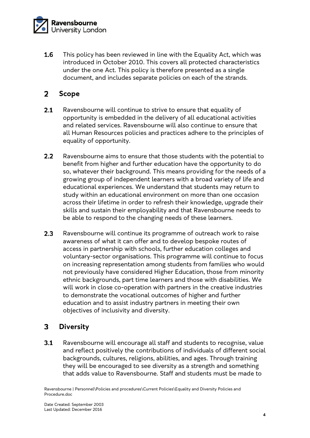

1.6 This policy has been reviewed in line with the Equality Act, which was introduced in October 2010. This covers all protected characteristics under the one Act. This policy is therefore presented as a single document, and includes separate policies on each of the strands.

#### $\overline{2}$ **Scope**

- $2.1$ Ravensbourne will continue to strive to ensure that equality of opportunity is embedded in the delivery of all educational activities and related services. Ravensbourne will also continue to ensure that all Human Resources policies and practices adhere to the principles of equality of opportunity.
- $2.2$ Ravensbourne aims to ensure that those students with the potential to benefit from higher and further education have the opportunity to do so, whatever their background. This means providing for the needs of a growing group of independent learners with a broad variety of life and educational experiences. We understand that students may return to study within an educational environment on more than one occasion across their lifetime in order to refresh their knowledge, upgrade their skills and sustain their employability and that Ravensbourne needs to be able to respond to the changing needs of these learners.
- $2.3$ Ravensbourne will continue its programme of outreach work to raise awareness of what it can offer and to develop bespoke routes of access in partnership with schools, further education colleges and voluntary-sector organisations. This programme will continue to focus on increasing representation among students from families who would not previously have considered Higher Education, those from minority ethnic backgrounds, part time learners and those with disabilities. We will work in close co-operation with partners in the creative industries to demonstrate the vocational outcomes of higher and further education and to assist industry partners in meeting their own objectives of inclusivity and diversity.

#### 3 **Diversity**

 $3.1$ Ravensbourne will encourage all staff and students to recognise, value and reflect positively the contributions of individuals of different social backgrounds, cultures, religions, abilities, and ages. Through training they will be encouraged to see diversity as a strength and something that adds value to Ravensbourne. Staff and students must be made to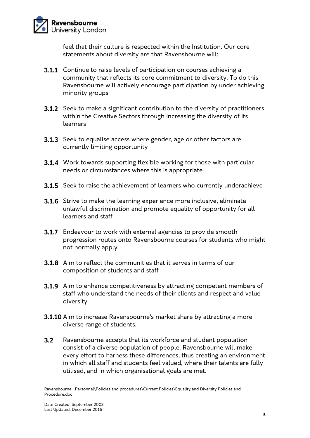

feel that their culture is respected within the Institution. Our core statements about diversity are that Ravensbourne will:

- **3.1.1** Continue to raise levels of participation on courses achieving a community that reflects its core commitment to diversity. To do this Ravensbourne will actively encourage participation by under achieving minority groups
- **3.1.2** Seek to make a significant contribution to the diversity of practitioners within the Creative Sectors through increasing the diversity of its learners
- **3.1.3** Seek to equalise access where gender, age or other factors are currently limiting opportunity
- **3.1.4** Work towards supporting flexible working for those with particular needs or circumstances where this is appropriate
- **3.1.5** Seek to raise the achievement of learners who currently underachieve
- **3.1.6** Strive to make the learning experience more inclusive, eliminate unlawful discrimination and promote equality of opportunity for all learners and staff
- **3.1.7** Endeavour to work with external agencies to provide smooth progression routes onto Ravensbourne courses for students who might not normally apply
- **3.1.8** Aim to reflect the communities that it serves in terms of our composition of students and staff
- **3.1.9** Aim to enhance competitiveness by attracting competent members of staff who understand the needs of their clients and respect and value diversity
- 3.1.10 Aim to increase Ravensbourne's market share by attracting a more diverse range of students.
- $3.2$ Ravensbourne accepts that its workforce and student population consist of a diverse population of people. Ravensbourne will make every effort to harness these differences, thus creating an environment in which all staff and students feel valued, where their talents are fully utilised, and in which organisational goals are met.

Ravensbourne | Personnel\Policies and procedures\Current Policies\Equality and Diversity Policies and Procedure.doc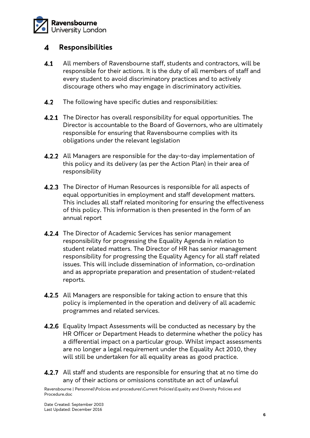

#### 4 **Responsibilities**

- $4.1$ All members of Ravensbourne staff, students and contractors, will be responsible for their actions. It is the duty of all members of staff and every student to avoid discriminatory practices and to actively discourage others who may engage in discriminatory activities.
- $4.2$ The following have specific duties and responsibilities:
- **4.2.1** The Director has overall responsibility for equal opportunities. The Director is accountable to the Board of Governors, who are ultimately responsible for ensuring that Ravensbourne complies with its obligations under the relevant legislation
- 4.2.2 All Managers are responsible for the day-to-day implementation of this policy and its delivery (as per the Action Plan) in their area of responsibility
- 4.2.3 The Director of Human Resources is responsible for all aspects of equal opportunities in employment and staff development matters. This includes all staff related monitoring for ensuring the effectiveness of this policy. This information is then presented in the form of an annual report
- **4.2.4** The Director of Academic Services has senior management responsibility for progressing the Equality Agenda in relation to student related matters. The Director of HR has senior management responsibility for progressing the Equality Agency for all staff related issues. This will include dissemination of information, co-ordination and as appropriate preparation and presentation of student-related reports.
- **4.2.5** All Managers are responsible for taking action to ensure that this policy is implemented in the operation and delivery of all academic programmes and related services.
- **4.2.6** Equality Impact Assessments will be conducted as necessary by the HR Officer or Department Heads to determine whether the policy has a differential impact on a particular group. Whilst impact assessments are no longer a legal requirement under the Equality Act 2010, they will still be undertaken for all equality areas as good practice.
- **4.2.7** All staff and students are responsible for ensuring that at no time do any of their actions or omissions constitute an act of unlawful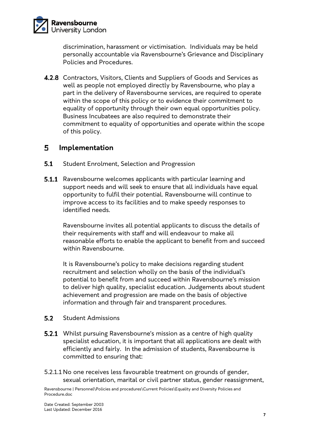

discrimination, harassment or victimisation. Individuals may be held personally accountable via Ravensbourne's Grievance and Disciplinary Policies and Procedures.

4.2.8 Contractors, Visitors, Clients and Suppliers of Goods and Services as well as people not employed directly by Ravensbourne, who play a part in the delivery of Ravensbourne services, are required to operate within the scope of this policy or to evidence their commitment to equality of opportunity through their own equal opportunities policy. Business Incubatees are also required to demonstrate their commitment to equality of opportunities and operate within the scope of this policy.

#### 5 **Implementation**

- $5.1$ Student Enrolment, Selection and Progression
- **5.1.1** Ravensbourne welcomes applicants with particular learning and support needs and will seek to ensure that all individuals have equal opportunity to fulfil their potential. Ravensbourne will continue to improve access to its facilities and to make speedy responses to identified needs.

Ravensbourne invites all potential applicants to discuss the details of their requirements with staff and will endeavour to make all reasonable efforts to enable the applicant to benefit from and succeed within Ravensbourne.

It is Ravensbourne's policy to make decisions regarding student recruitment and selection wholly on the basis of the individual's potential to benefit from and succeed within Ravensbourne's mission to deliver high quality, specialist education. Judgements about student achievement and progression are made on the basis of objective information and through fair and transparent procedures.

#### $5.2$ Student Admissions

- **5.2.1** Whilst pursuing Ravensbourne's mission as a centre of high quality specialist education, it is important that all applications are dealt with efficiently and fairly. In the admission of students, Ravensbourne is committed to ensuring that:
- 5.2.1.1 No one receives less favourable treatment on grounds of gender, sexual orientation, marital or civil partner status, gender reassignment,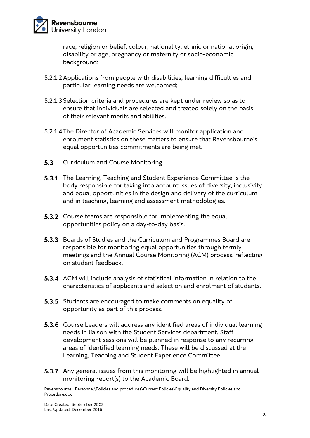

race, religion or belief, colour, nationality, ethnic or national origin, disability or age, pregnancy or maternity or socio-economic background;

- 5.2.1.2 Applications from people with disabilities, learning difficulties and particular learning needs are welcomed;
- 5.2.1.3 Selection criteria and procedures are kept under review so as to ensure that individuals are selected and treated solely on the basis of their relevant merits and abilities.
- 5.2.1.4The Director of Academic Services will monitor application and enrolment statistics on these matters to ensure that Ravensbourne's equal opportunities commitments are being met.
- $5.3$ Curriculum and Course Monitoring
- **5.3.1** The Learning, Teaching and Student Experience Committee is the body responsible for taking into account issues of diversity, inclusivity and equal opportunities in the design and delivery of the curriculum and in teaching, learning and assessment methodologies.
- **5.3.2** Course teams are responsible for implementing the equal opportunities policy on a day-to-day basis.
- **5.3.3** Boards of Studies and the Curriculum and Programmes Board are responsible for monitoring equal opportunities through termly meetings and the Annual Course Monitoring (ACM) process, reflecting on student feedback.
- 5.3.4 ACM will include analysis of statistical information in relation to the characteristics of applicants and selection and enrolment of students.
- **5.3.5** Students are encouraged to make comments on equality of opportunity as part of this process.
- **5.3.6** Course Leaders will address any identified areas of individual learning needs in liaison with the Student Services department. Staff development sessions will be planned in response to any recurring areas of identified learning needs. These will be discussed at the Learning, Teaching and Student Experience Committee.
- **5.3.7** Any general issues from this monitoring will be highlighted in annual monitoring report(s) to the Academic Board.

Ravensbourne | Personnel\Policies and procedures\Current Policies\Equality and Diversity Policies and Procedure.doc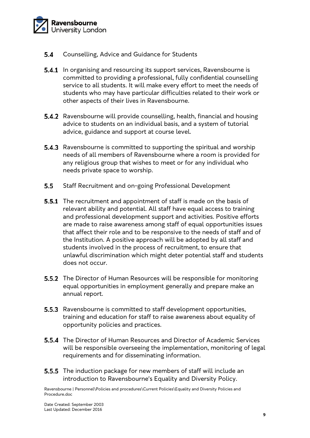

- $5.4$ Counselling, Advice and Guidance for Students
- **5.4.1** In organising and resourcing its support services, Ravensbourne is committed to providing a professional, fully confidential counselling service to all students. It will make every effort to meet the needs of students who may have particular difficulties related to their work or other aspects of their lives in Ravensbourne.
- **5.4.2** Ravensbourne will provide counselling, health, financial and housing advice to students on an individual basis, and a system of tutorial advice, guidance and support at course level.
- **5.4.3** Ravensbourne is committed to supporting the spiritual and worship needs of all members of Ravensbourne where a room is provided for any religious group that wishes to meet or for any individual who needs private space to worship.
- $5.5$ Staff Recruitment and on-going Professional Development
- **5.5.1** The recruitment and appointment of staff is made on the basis of relevant ability and potential. All staff have equal access to training and professional development support and activities. Positive efforts are made to raise awareness among staff of equal opportunities issues that affect their role and to be responsive to the needs of staff and of the Institution. A positive approach will be adopted by all staff and students involved in the process of recruitment, to ensure that unlawful discrimination which might deter potential staff and students does not occur.
- **5.5.2** The Director of Human Resources will be responsible for monitoring equal opportunities in employment generally and prepare make an annual report.
- **5.5.3** Ravensbourne is committed to staff development opportunities, training and education for staff to raise awareness about equality of opportunity policies and practices.
- **5.5.4** The Director of Human Resources and Director of Academic Services will be responsible overseeing the implementation, monitoring of legal requirements and for disseminating information.
- **5.5.5** The induction package for new members of staff will include an introduction to Ravensbourne's Equality and Diversity Policy.

Ravensbourne | Personnel\Policies and procedures\Current Policies\Equality and Diversity Policies and Procedure.doc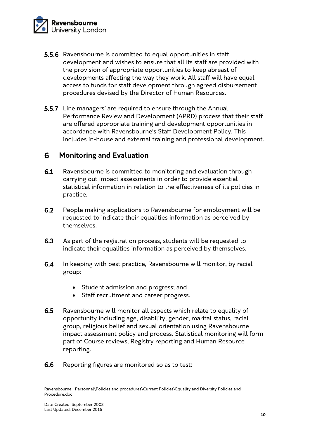

- **5.5.6** Ravensbourne is committed to equal opportunities in staff development and wishes to ensure that all its staff are provided with the provision of appropriate opportunities to keep abreast of developments affecting the way they work. All staff will have equal access to funds for staff development through agreed disbursement procedures devised by the Director of Human Resources.
- **5.5.7** Line managers' are required to ensure through the Annual Performance Review and Development (APRD) process that their staff are offered appropriate training and development opportunities in accordance with Ravensbourne's Staff Development Policy. This includes in-house and external training and professional development.

#### 6 **Monitoring and Evaluation**

- $6.1$ Ravensbourne is committed to monitoring and evaluation through carrying out impact assessments in order to provide essential statistical information in relation to the effectiveness of its policies in practice.
- $6.2$ People making applications to Ravensbourne for employment will be requested to indicate their equalities information as perceived by themselves.
- $6.3$ As part of the registration process, students will be requested to indicate their equalities information as perceived by themselves.
- $6.4$ In keeping with best practice, Ravensbourne will monitor, by racial group:
	- Student admission and progress; and
	- Staff recruitment and career progress.
- $6.5$ Ravensbourne will monitor all aspects which relate to equality of opportunity including age, disability, gender, marital status, racial group, religious belief and sexual orientation using Ravensbourne impact assessment policy and process. Statistical monitoring will form part of Course reviews, Registry reporting and Human Resource reporting.
- 6.6 Reporting figures are monitored so as to test: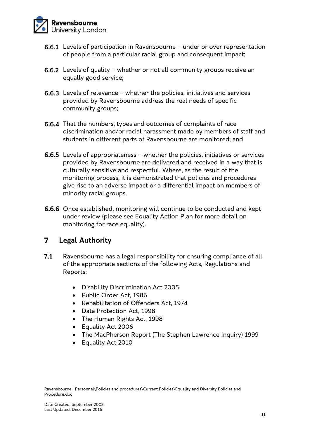

- **6.6.1** Levels of participation in Ravensbourne under or over representation of people from a particular racial group and consequent impact;
- **6.6.2** Levels of quality whether or not all community groups receive an equally good service;
- **6.6.3** Levels of relevance whether the policies, initiatives and services provided by Ravensbourne address the real needs of specific community groups;
- **6.6.4** That the numbers, types and outcomes of complaints of race discrimination and/or racial harassment made by members of staff and students in different parts of Ravensbourne are monitored; and
- **6.6.5** Levels of appropriateness whether the policies, initiatives or services provided by Ravensbourne are delivered and received in a way that is culturally sensitive and respectful. Where, as the result of the monitoring process, it is demonstrated that policies and procedures give rise to an adverse impact or a differential impact on members of minority racial groups.
- **6.6.6** Once established, monitoring will continue to be conducted and kept under review (please see Equality Action Plan for more detail on monitoring for race equality).

#### **Legal Authority**  $\overline{7}$

- $7.1$ Ravensbourne has a legal responsibility for ensuring compliance of all of the appropriate sections of the following Acts, Regulations and Reports:
	- Disability Discrimination Act 2005
	- Public Order Act, 1986
	- Rehabilitation of Offenders Act, 1974
	- Data Protection Act, 1998
	- The Human Rights Act, 1998
	- Equality Act 2006
	- The MacPherson Report (The Stephen Lawrence Inquiry) 1999
	- Equality Act 2010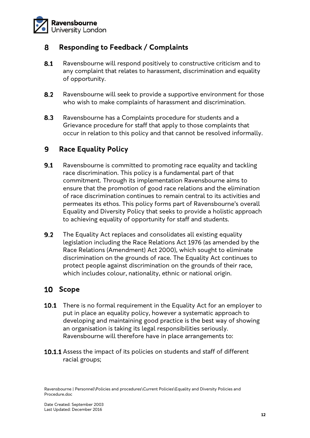

#### **Responding to Feedback / Complaints** 8

- $8.1$ Ravensbourne will respond positively to constructive criticism and to any complaint that relates to harassment, discrimination and equality of opportunity.
- $8.2$ Ravensbourne will seek to provide a supportive environment for those who wish to make complaints of harassment and discrimination.
- $8.3$ Ravensbourne has a Complaints procedure for students and a Grievance procedure for staff that apply to those complaints that occur in relation to this policy and that cannot be resolved informally.

#### **Race Equality Policy**  9

- $9.1$ Ravensbourne is committed to promoting race equality and tackling race discrimination. This policy is a fundamental part of that commitment. Through its implementation Ravensbourne aims to ensure that the promotion of good race relations and the elimination of race discrimination continues to remain central to its activities and permeates its ethos. This policy forms part of Ravensbourne's overall Equality and Diversity Policy that seeks to provide a holistic approach to achieving equality of opportunity for staff and students.
- $9.2$ The Equality Act replaces and consolidates all existing equality legislation including the Race Relations Act 1976 (as amended by the Race Relations (Amendment) Act 2000), which sought to eliminate discrimination on the grounds of race. The Equality Act continues to protect people against discrimination on the grounds of their race, which includes colour, nationality, ethnic or national origin.

# 10 Scope

- **10.1** There is no formal requirement in the Equality Act for an employer to put in place an equality policy, however a systematic approach to developing and maintaining good practice is the best way of showing an organisation is taking its legal responsibilities seriously. Ravensbourne will therefore have in place arrangements to:
- 10.1.1 Assess the impact of its policies on students and staff of different racial groups;

Ravensbourne | Personnel\Policies and procedures\Current Policies\Equality and Diversity Policies and Procedure.doc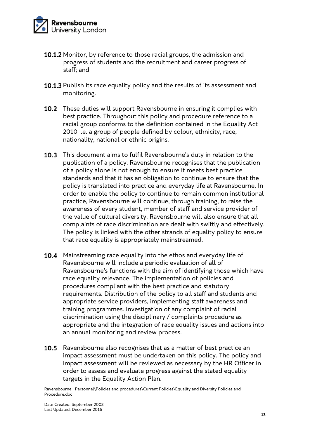

- 10.1.2 Monitor, by reference to those racial groups, the admission and progress of students and the recruitment and career progress of staff; and
- 10.1.3 Publish its race equality policy and the results of its assessment and monitoring.
- 10.2 These duties will support Ravensbourne in ensuring it complies with best practice. Throughout this policy and procedure reference to a racial group conforms to the definition contained in the Equality Act 2010 i.e. a group of people defined by colour, ethnicity, race, nationality, national or ethnic origins.
- 10.3 This document aims to fulfil Ravensbourne's duty in relation to the publication of a policy. Ravensbourne recognises that the publication of a policy alone is not enough to ensure it meets best practice standards and that it has an obligation to continue to ensure that the policy is translated into practice and everyday life at Ravensbourne. In order to enable the policy to continue to remain common institutional practice, Ravensbourne will continue, through training, to raise the awareness of every student, member of staff and service provider of the value of cultural diversity. Ravensbourne will also ensure that all complaints of race discrimination are dealt with swiftly and effectively. The policy is linked with the other strands of equality policy to ensure that race equality is appropriately mainstreamed.
- 10.4 Mainstreaming race equality into the ethos and everyday life of Ravensbourne will include a periodic evaluation of all of Ravensbourne's functions with the aim of identifying those which have race equality relevance. The implementation of policies and procedures compliant with the best practice and statutory requirements. Distribution of the policy to all staff and students and appropriate service providers, implementing staff awareness and training programmes. Investigation of any complaint of racial discrimination using the disciplinary / complaints procedure as appropriate and the integration of race equality issues and actions into an annual monitoring and review process.
- **10.5** Ravensbourne also recognises that as a matter of best practice an impact assessment must be undertaken on this policy. The policy and impact assessment will be reviewed as necessary by the HR Officer in order to assess and evaluate progress against the stated equality targets in the Equality Action Plan.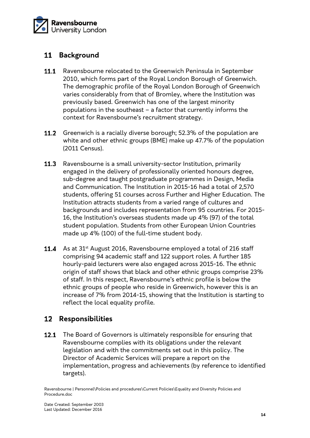

# 11 Background

- 11.1 Ravensbourne relocated to the Greenwich Peninsula in September 2010, which forms part of the Royal London Borough of Greenwich. The demographic profile of the Royal London Borough of Greenwich varies considerably from that of Bromley, where the Institution was previously based. Greenwich has one of the largest minority populations in the southeast – a factor that currently informs the context for Ravensbourne's recruitment strategy.
- 11.2 Greenwich is a racially diverse borough; 52.3% of the population are white and other ethnic groups (BME) make up 47.7% of the population (2011 Census).
- $11.3$ Ravensbourne is a small university-sector Institution, primarily engaged in the delivery of professionally oriented honours degree, sub-degree and taught postgraduate programmes in Design, Media and Communication. The Institution in 2015-16 had a total of 2,570 students, offering 51 courses across Further and Higher Education. The Institution attracts students from a varied range of cultures and backgrounds and includes representation from 95 countries. For 2015- 16, the Institution's overseas students made up 4% (97) of the total student population. Students from other European Union Countries made up 4% (100) of the full-time student body.
- 11.4 As at 31<sup>st</sup> August 2016, Ravensbourne employed a total of 216 staff comprising 94 academic staff and 122 support roles. A further 185 hourly-paid lecturers were also engaged across 2015-16. The ethnic origin of staff shows that black and other ethnic groups comprise 23% of staff. In this respect, Ravensbourne's ethnic profile is below the ethnic groups of people who reside in Greenwich, however this is an increase of 7% from 2014-15, showing that the Institution is starting to reflect the local equality profile.

# **Responsibilities**

12.1 The Board of Governors is ultimately responsible for ensuring that Ravensbourne complies with its obligations under the relevant legislation and with the commitments set out in this policy. The Director of Academic Services will prepare a report on the implementation, progress and achievements (by reference to identified targets).

Ravensbourne | Personnel\Policies and procedures\Current Policies\Equality and Diversity Policies and Procedure.doc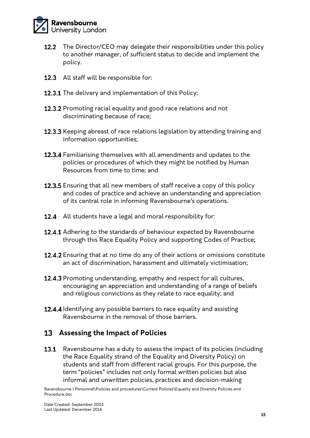

- The Director/CEO may delegate their responsibilities under this policy  $12.2$ to another manager, of sufficient status to decide and implement the policy.
- 12.3 All staff will be responsible for:
- 12.3.1 The delivery and implementation of this Policy;
- 12.3.2 Promoting racial equality and good race relations and not discriminating because of race;
- 12.3.3 Keeping abreast of race relations legislation by attending training and information opportunities;
- 12.3.4 Familiarising themselves with all amendments and updates to the policies or procedures of which they might be notified by Human Resources from time to time; and
- 12.3.5 Ensuring that all new members of staff receive a copy of this policy and codes of practice and achieve an understanding and appreciation of its central role in informing Ravensbourne's operations.
- **12.4** All students have a legal and moral responsibility for:
- 12.4.1 Adhering to the standards of behaviour expected by Ravensbourne through this Race Equality Policy and supporting Codes of Practice;
- 12.4.2 Ensuring that at no time do any of their actions or omissions constitute an act of discrimination, harassment and ultimately victimisation;
- 12.4.3 Promoting understanding, empathy and respect for all cultures, encouraging an appreciation and understanding of a range of beliefs and religious convictions as they relate to race equality; and
- 12.4.4 Identifying any possible barriers to race equality and assisting Ravensbourne in the removal of those barriers.

# **Assessing the Impact of Policies**

13.1 Ravensbourne has a duty to assess the impact of its policies (including the Race Equality strand of the Equality and Diversity Policy) on students and staff from different racial groups. For this purpose, the term "policies" includes not only formal written policies but also informal and unwritten policies, practices and decision-making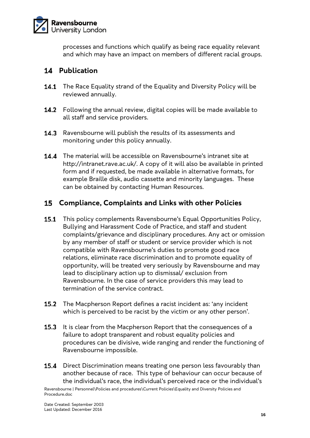

processes and functions which qualify as being race equality relevant and which may have an impact on members of different racial groups.

# 14 **Publication**

- 14.1 The Race Equality strand of the Equality and Diversity Policy will be reviewed annually.
- 14.2 Following the annual review, digital copies will be made available to all staff and service providers.
- 14.3 Ravensbourne will publish the results of its assessments and monitoring under this policy annually.
- **14.4** The material will be accessible on Ravensbourne's intranet site at http://intranet.rave.ac.uk/. A copy of it will also be available in printed form and if requested, be made available in alternative formats, for example Braille disk, audio cassette and minority languages. These can be obtained by contacting Human Resources.

### **Compliance, Complaints and Links with other Policies**

- 15.1 This policy complements Ravensbourne's Equal Opportunities Policy, Bullying and Harassment Code of Practice, and staff and student complaints/grievance and disciplinary procedures. Any act or omission by any member of staff or student or service provider which is not compatible with Ravensbourne's duties to promote good race relations, eliminate race discrimination and to promote equality of opportunity, will be treated very seriously by Ravensbourne and may lead to disciplinary action up to dismissal/ exclusion from Ravensbourne. In the case of service providers this may lead to termination of the service contract.
- $15.2$ The Macpherson Report defines a racist incident as: 'any incident which is perceived to be racist by the victim or any other person'.
- 15.3 It is clear from the Macpherson Report that the consequences of a failure to adopt transparent and robust equality policies and procedures can be divisive, wide ranging and render the functioning of Ravensbourne impossible.
- **15.4** Direct Discrimination means treating one person less favourably than another because of race. This type of behaviour can occur because of the individual's race, the individual's perceived race or the individual's

Ravensbourne | Personnel\Policies and procedures\Current Policies\Equality and Diversity Policies and Procedure.doc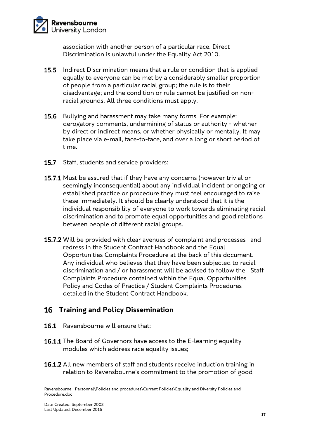

association with another person of a particular race. Direct Discrimination is unlawful under the Equality Act 2010.

- $15.5$ Indirect Discrimination means that a rule or condition that is applied equally to everyone can be met by a considerably smaller proportion of people from a particular racial group; the rule is to their disadvantage; and the condition or rule cannot be justified on nonracial grounds. All three conditions must apply.
- **15.6** Bullying and harassment may take many forms. For example: derogatory comments, undermining of status or authority - whether by direct or indirect means, or whether physically or mentally. It may take place via e-mail, face-to-face, and over a long or short period of time.
- $15.7$ Staff, students and service providers:
- 15.7.1 Must be assured that if they have any concerns (however trivial or seemingly inconsequential) about any individual incident or ongoing or established practice or procedure they must feel encouraged to raise these immediately. It should be clearly understood that it is the individual responsibility of everyone to work towards eliminating racial discrimination and to promote equal opportunities and good relations between people of different racial groups.
- 15.7.2 Will be provided with clear avenues of complaint and processes and redress in the Student Contract Handbook and the Equal Opportunities Complaints Procedure at the back of this document. Any individual who believes that they have been subjected to racial discrimination and / or harassment will be advised to follow the Staff Complaints Procedure contained within the Equal Opportunities Policy and Codes of Practice / Student Complaints Procedures detailed in the Student Contract Handbook.

# **Training and Policy Dissemination**

- 16.1 Ravensbourne will ensure that:
- 16.1.1 The Board of Governors have access to the E-learning equality modules which address race equality issues;
- 16.1.2 All new members of staff and students receive induction training in relation to Ravensbourne's commitment to the promotion of good

Ravensbourne | Personnel\Policies and procedures\Current Policies\Equality and Diversity Policies and Procedure.doc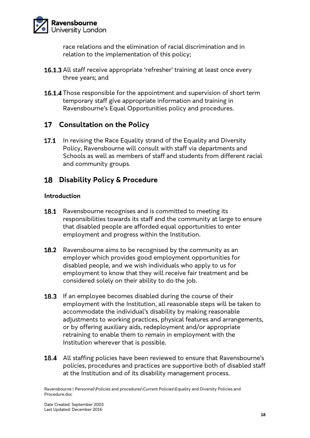

race relations and the elimination of racial discrimination and in relation to the implementation of this policy;

- **16.1.3** All staff receive appropriate 'refresher' training at least once every three years; and
- 16.1.4 Those responsible for the appointment and supervision of short term temporary staff give appropriate information and training in Ravensbourne's Equal Opportunities policy and procedures.

# **Consultation on the Policy**

17.1 In revising the Race Equality strand of the Equality and Diversity Policy, Ravensbourne will consult with staff via departments and Schools as well as members of staff and students from different racial and community groups.

### **Disability Policy & Procedure**

#### **Introduction**

- **18.1** Ravensbourne recognises and is committed to meeting its responsibilities towards its staff and the community at large to ensure that disabled people are afforded equal opportunities to enter employment and progress within the Institution.
- **18.2** Ravensbourne aims to be recognised by the community as an employer which provides good employment opportunities for disabled people, and we wish individuals who apply to us for employment to know that they will receive fair treatment and be considered solely on their ability to do the job.
- **18.3** If an employee becomes disabled during the course of their employment with the Institution, all reasonable steps will be taken to accommodate the individual's disability by making reasonable adjustments to working practices, physical features and arrangements, or by offering auxiliary aids, redeployment and/or appropriate retraining to enable them to remain in employment with the Institution wherever that is possible.
- 18.4 All staffing policies have been reviewed to ensure that Ravensbourne's policies, procedures and practices are supportive both of disabled staff at the Institution and of its disability management process.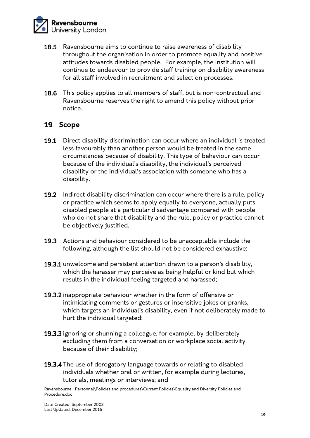

- 18.5 Ravensbourne aims to continue to raise awareness of disability throughout the organisation in order to promote equality and positive attitudes towards disabled people. For example, the Institution will continue to endeavour to provide staff training on disability awareness for all staff involved in recruitment and selection processes.
- 18.6 This policy applies to all members of staff, but is non-contractual and Ravensbourne reserves the right to amend this policy without prior notice.

#### 19 Scope

- 19.1 Direct disability discrimination can occur where an individual is treated less favourably than another person would be treated in the same circumstances because of disability. This type of behaviour can occur because of the individual's disability, the individual's perceived disability or the individual's association with someone who has a disability.
- 19.2 Indirect disability discrimination can occur where there is a rule, policy or practice which seems to apply equally to everyone, actually puts disabled people at a particular disadvantage compared with people who do not share that disability and the rule, policy or practice cannot be objectively justified.
- 19.3 Actions and behaviour considered to be unacceptable include the following, although the list should not be considered exhaustive:
- 19.3.1 unwelcome and persistent attention drawn to a person's disability, which the harasser may perceive as being helpful or kind but which results in the individual feeling targeted and harassed;
- 19.3.2 inappropriate behaviour whether in the form of offensive or intimidating comments or gestures or insensitive jokes or pranks, which targets an individual's disability, even if not deliberately made to hurt the individual targeted;
- 19.3.3 ignoring or shunning a colleague, for example, by deliberately excluding them from a conversation or workplace social activity because of their disability;
- 19.3.4 The use of derogatory language towards or relating to disabled individuals whether oral or written, for example during lectures, tutorials, meetings or interviews; and

Ravensbourne | Personnel\Policies and procedures\Current Policies\Equality and Diversity Policies and Procedure.doc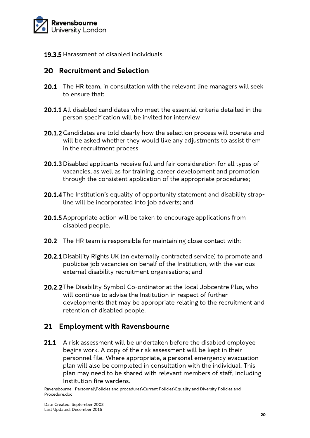

19.3.5 Harassment of disabled individuals.

# **Recruitment and Selection**

- **20.1** The HR team, in consultation with the relevant line managers will seek to ensure that:
- 20.1.1 All disabled candidates who meet the essential criteria detailed in the person specification will be invited for interview
- 20.1.2 Candidates are told clearly how the selection process will operate and will be asked whether they would like any adjustments to assist them in the recruitment process
- 20.1.3 Disabled applicants receive full and fair consideration for all types of vacancies, as well as for training, career development and promotion through the consistent application of the appropriate procedures;
- 20.1.4 The Institution's equality of opportunity statement and disability strapline will be incorporated into job adverts; and
- **20.1.5** Appropriate action will be taken to encourage applications from disabled people.
- 20.2 The HR team is responsible for maintaining close contact with:
- 20.2.1 Disability Rights UK (an externally contracted service) to promote and publicise job vacancies on behalf of the Institution, with the various external disability recruitment organisations; and
- 20.2.2 The Disability Symbol Co-ordinator at the local Jobcentre Plus, who will continue to advise the Institution in respect of further developments that may be appropriate relating to the recruitment and retention of disabled people.

# **Employment with Ravensbourne**

21.1 A risk assessment will be undertaken before the disabled employee begins work. A copy of the risk assessment will be kept in their personnel file. Where appropriate, a personal emergency evacuation plan will also be completed in consultation with the individual. This plan may need to be shared with relevant members of staff, including Institution fire wardens.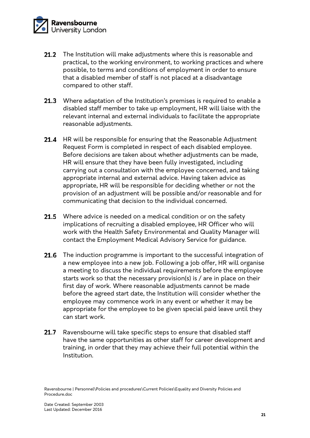

- $21.2$ The Institution will make adjustments where this is reasonable and practical, to the working environment, to working practices and where possible, to terms and conditions of employment in order to ensure that a disabled member of staff is not placed at a disadvantage compared to other staff.
- 21.3 Where adaptation of the Institution's premises is required to enable a disabled staff member to take up employment, HR will liaise with the relevant internal and external individuals to facilitate the appropriate reasonable adjustments.
- $21.4$ HR will be responsible for ensuring that the Reasonable Adjustment Request Form is completed in respect of each disabled employee. Before decisions are taken about whether adjustments can be made, HR will ensure that they have been fully investigated, including carrying out a consultation with the employee concerned, and taking appropriate internal and external advice. Having taken advice as appropriate, HR will be responsible for deciding whether or not the provision of an adjustment will be possible and/or reasonable and for communicating that decision to the individual concerned.
- 21.5 Where advice is needed on a medical condition or on the safety implications of recruiting a disabled employee, HR Officer who will work with the Health Safety Environmental and Quality Manager will contact the Employment Medical Advisory Service for guidance.
- 21.6 The induction programme is important to the successful integration of a new employee into a new job. Following a job offer, HR will organise a meeting to discuss the individual requirements before the employee starts work so that the necessary provision(s) is / are in place on their first day of work. Where reasonable adjustments cannot be made before the agreed start date, the Institution will consider whether the employee may commence work in any event or whether it may be appropriate for the employee to be given special paid leave until they can start work.
- $21.7$ Ravensbourne will take specific steps to ensure that disabled staff have the same opportunities as other staff for career development and training, in order that they may achieve their full potential within the Institution.

Ravensbourne | Personnel\Policies and procedures\Current Policies\Equality and Diversity Policies and Procedure.doc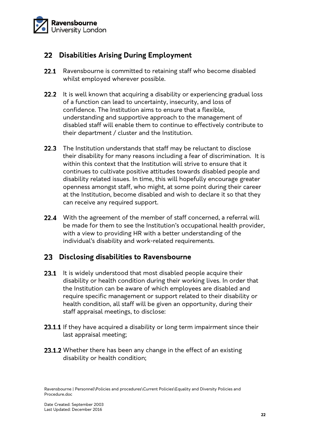

# **Disabilities Arising During Employment**

- 22.1 Ravensbourne is committed to retaining staff who become disabled whilst employed wherever possible.
- 22.2 It is well known that acquiring a disability or experiencing gradual loss of a function can lead to uncertainty, insecurity, and loss of confidence. The Institution aims to ensure that a flexible, understanding and supportive approach to the management of disabled staff will enable them to continue to effectively contribute to their department / cluster and the Institution.
- 22.3 The Institution understands that staff may be reluctant to disclose their disability for many reasons including a fear of discrimination. It is within this context that the Institution will strive to ensure that it continues to cultivate positive attitudes towards disabled people and disability related issues. In time, this will hopefully encourage greater openness amongst staff, who might, at some point during their career at the Institution, become disabled and wish to declare it so that they can receive any required support.
- **22.4** With the agreement of the member of staff concerned, a referral will be made for them to see the Institution's occupational health provider, with a view to providing HR with a better understanding of the individual's disability and work-related requirements.

# **Disclosing disabilities to Ravensbourne**

- 23.1 It is widely understood that most disabled people acquire their disability or health condition during their working lives. In order that the Institution can be aware of which employees are disabled and require specific management or support related to their disability or health condition, all staff will be given an opportunity, during their staff appraisal meetings, to disclose:
- 23.1.1 If they have acquired a disability or long term impairment since their last appraisal meeting;
- 23.1.2 Whether there has been any change in the effect of an existing disability or health condition;

Ravensbourne | Personnel\Policies and procedures\Current Policies\Equality and Diversity Policies and Procedure.doc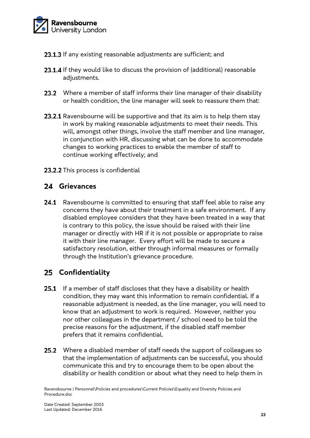

- 23.1.3 If any existing reasonable adjustments are sufficient; and
- **23.1.4** If they would like to discuss the provision of (additional) reasonable adiustments.
- 23.2 Where a member of staff informs their line manager of their disability or health condition, the line manager will seek to reassure them that:
- 23.2.1 Ravensbourne will be supportive and that its aim is to help them stay in work by making reasonable adjustments to meet their needs. This will, amongst other things, involve the staff member and line manager, in conjunction with HR, discussing what can be done to accommodate changes to working practices to enable the member of staff to continue working effectively; and
- 23.2.2 This process is confidential

### **Grievances**

24.1 Ravensbourne is committed to ensuring that staff feel able to raise any concerns they have about their treatment in a safe environment. If any disabled employee considers that they have been treated in a way that is contrary to this policy, the issue should be raised with their line manager or directly with HR if it is not possible or appropriate to raise it with their line manager. Every effort will be made to secure a satisfactory resolution, either through informal measures or formally through the Institution's grievance procedure.

# **Confidentiality**

- 25.1 If a member of staff discloses that they have a disability or health condition, they may want this information to remain confidential. If a reasonable adjustment is needed, as the line manager, you will need to know that an adjustment to work is required. However, neither you nor other colleagues in the department / school need to be told the precise reasons for the adjustment, if the disabled staff member prefers that it remains confidential.
- 25.2 Where a disabled member of staff needs the support of colleagues so that the implementation of adjustments can be successful, you should communicate this and try to encourage them to be open about the disability or health condition or about what they need to help them in

Ravensbourne | Personnel\Policies and procedures\Current Policies\Equality and Diversity Policies and Procedure.doc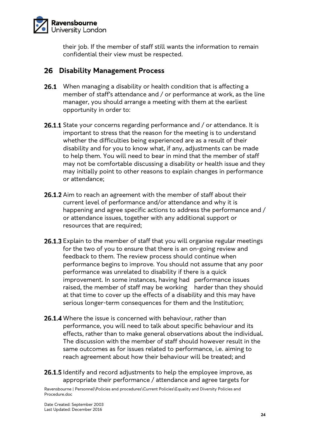

their job. If the member of staff still wants the information to remain confidential their view must be respected.

### **Disability Management Process**

- 26.1 When managing a disability or health condition that is affecting a member of staff's attendance and / or performance at work, as the line manager, you should arrange a meeting with them at the earliest opportunity in order to:
- 26.1.1 State your concerns regarding performance and / or attendance. It is important to stress that the reason for the meeting is to understand whether the difficulties being experienced are as a result of their disability and for you to know what, if any, adjustments can be made to help them. You will need to bear in mind that the member of staff may not be comfortable discussing a disability or health issue and they may initially point to other reasons to explain changes in performance or attendance;
- **26.1.2** Aim to reach an agreement with the member of staff about their current level of performance and/or attendance and why it is happening and agree specific actions to address the performance and / or attendance issues, together with any additional support or resources that are required;
- 26.1.3 Explain to the member of staff that you will organise regular meetings for the two of you to ensure that there is an on-going review and feedback to them. The review process should continue when performance begins to improve. You should not assume that any poor performance was unrelated to disability if there is a quick improvement. In some instances, having had performance issues raised, the member of staff may be working harder than they should at that time to cover up the effects of a disability and this may have serious longer-term consequences for them and the Institution;
- 26.1.4 Where the issue is concerned with behaviour, rather than performance, you will need to talk about specific behaviour and its effects, rather than to make general observations about the individual. The discussion with the member of staff should however result in the same outcomes as for issues related to performance, i.e. aiming to reach agreement about how their behaviour will be treated; and
- 26.1.5 Identify and record adjustments to help the employee improve, as appropriate their performance / attendance and agree targets for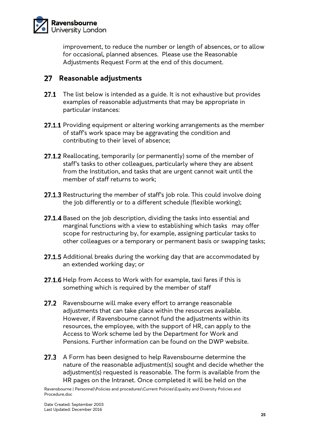

improvement, to reduce the number or length of absences, or to allow for occasional, planned absences. Please use the Reasonable Adjustments Request Form at the end of this document.

### **Reasonable adjustments**

- 27.1 The list below is intended as a guide. It is not exhaustive but provides examples of reasonable adjustments that may be appropriate in particular instances:
- 27.1.1 Providing equipment or altering working arrangements as the member of staff's work space may be aggravating the condition and contributing to their level of absence;
- 27.1.2 Reallocating, temporarily (or permanently) some of the member of staff's tasks to other colleagues, particularly where they are absent from the Institution, and tasks that are urgent cannot wait until the member of staff returns to work;
- 27.1.3 Restructuring the member of staff's job role. This could involve doing the job differently or to a different schedule (flexible working);
- 27.1.4 Based on the job description, dividing the tasks into essential and marginal functions with a view to establishing which tasks may offer scope for restructuring by, for example, assigning particular tasks to other colleagues or a temporary or permanent basis or swapping tasks;
- **27.1.5** Additional breaks during the working day that are accommodated by an extended working day; or
- 27.1.6 Help from Access to Work with for example, taxi fares if this is something which is required by the member of staff
- $27.2$ Ravensbourne will make every effort to arrange reasonable adjustments that can take place within the resources available. However, if Ravensbourne cannot fund the adjustments within its resources, the employee, with the support of HR, can apply to the Access to Work scheme led by the Department for Work and Pensions. Further information can be found on the DWP website.
- 27.3 A Form has been designed to help Ravensbourne determine the nature of the reasonable adjustment(s) sought and decide whether the adjustment(s) requested is reasonable. The form is available from the HR pages on the Intranet. Once completed it will be held on the

Ravensbourne | Personnel\Policies and procedures\Current Policies\Equality and Diversity Policies and Procedure.doc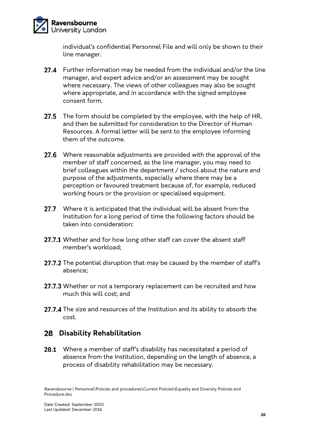

individual's confidential Personnel File and will only be shown to their line manager.

- **27.4** Further information may be needed from the individual and/or the line manager, and expert advice and/or an assessment may be sought where necessary. The views of other colleagues may also be sought where appropriate, and in accordance with the signed employee consent form.
- 27.5 The form should be completed by the employee, with the help of HR, and then be submitted for consideration to the Director of Human Resources. A formal letter will be sent to the employee informing them of the outcome.
- 27.6 Where reasonable adjustments are provided with the approval of the member of staff concerned, as the line manager, you may need to brief colleagues within the department / school about the nature and purpose of the adjustments, especially where there may be a perception or favoured treatment because of, for example, reduced working hours or the provision or specialised equipment.
- $27.7$ Where it is anticipated that the individual will be absent from the Institution for a long period of time the following factors should be taken into consideration:
- 27.7.1 Whether and for how long other staff can cover the absent staff member's workload;
- 27.7.2 The potential disruption that may be caused by the member of staff's absence;
- 27.7.3 Whether or not a temporary replacement can be recruited and how much this will cost; and
- 27.7.4 The size and resources of the Institution and its ability to absorb the cost.

# **Disability Rehabilitation**

28.1 Where a member of staff's disability has necessitated a period of absence from the Institution, depending on the length of absence, a process of disability rehabilitation may be necessary.

Ravensbourne | Personnel\Policies and procedures\Current Policies\Equality and Diversity Policies and Procedure.doc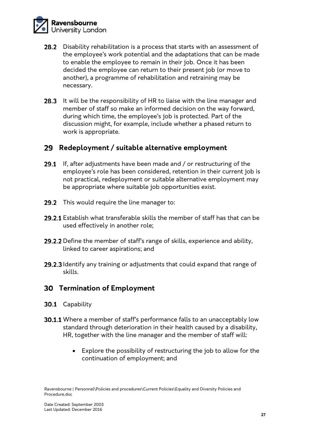

- 28.2 Disability rehabilitation is a process that starts with an assessment of the employee's work potential and the adaptations that can be made to enable the employee to remain in their job. Once it has been decided the employee can return to their present job (or move to another), a programme of rehabilitation and retraining may be necessary.
- **28.3** It will be the responsibility of HR to liaise with the line manager and member of staff so make an informed decision on the way forward, during which time, the employee's job is protected. Part of the discussion might, for example, include whether a phased return to work is appropriate.

#### **Redeployment / suitable alternative employment**

- 29.1 If, after adjustments have been made and / or restructuring of the employee's role has been considered, retention in their current job is not practical, redeployment or suitable alternative employment may be appropriate where suitable job opportunities exist.
- **29.2** This would require the line manager to:
- **29.2.1** Establish what transferable skills the member of staff has that can be used effectively in another role;
- 29.2.2 Define the member of staff's range of skills, experience and ability, linked to career aspirations; and
- 29.2.3 Identify any training or adjustments that could expand that range of skills.

#### **Termination of Employment**

- 30.1 Capability
- **30.1.1** Where a member of staff's performance falls to an unacceptably low standard through deterioration in their health caused by a disability, HR, together with the line manager and the member of staff will:
	- Explore the possibility of restructuring the job to allow for the continuation of employment; and

Ravensbourne | Personnel\Policies and procedures\Current Policies\Equality and Diversity Policies and Procedure.doc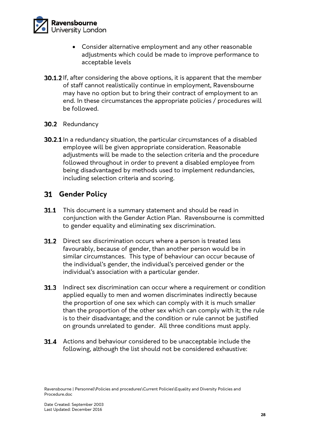

- Consider alternative employment and any other reasonable adjustments which could be made to improve performance to acceptable levels
- 30.1.2 If, after considering the above options, it is apparent that the member of staff cannot realistically continue in employment, Ravensbourne may have no option but to bring their contract of employment to an end. In these circumstances the appropriate policies / procedures will be followed.
- 30.2 Redundancy
- **30.2.1** In a redundancy situation, the particular circumstances of a disabled employee will be given appropriate consideration. Reasonable adjustments will be made to the selection criteria and the procedure followed throughout in order to prevent a disabled employee from being disadvantaged by methods used to implement redundancies, including selection criteria and scoring.

#### **Gender Policy**

- **31.1** This document is a summary statement and should be read in conjunction with the Gender Action Plan. Ravensbourne is committed to gender equality and eliminating sex discrimination.
- **31.2** Direct sex discrimination occurs where a person is treated less favourably, because of gender, than another person would be in similar circumstances. This type of behaviour can occur because of the individual's gender, the individual's perceived gender or the individual's association with a particular gender.
- **31.3** Indirect sex discrimination can occur where a requirement or condition applied equally to men and women discriminates indirectly because the proportion of one sex which can comply with it is much smaller than the proportion of the other sex which can comply with it; the rule is to their disadvantage; and the condition or rule cannot be justified on grounds unrelated to gender. All three conditions must apply.
- **31.4** Actions and behaviour considered to be unacceptable include the following, although the list should not be considered exhaustive:

Ravensbourne | Personnel\Policies and procedures\Current Policies\Equality and Diversity Policies and Procedure.doc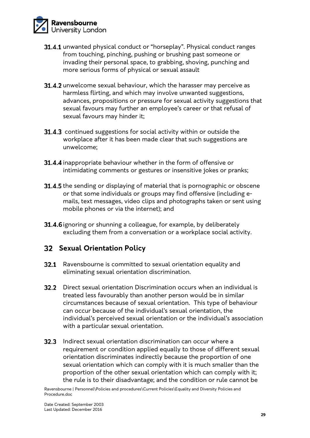

- 31.4.1 unwanted physical conduct or "horseplay". Physical conduct ranges from touching, pinching, pushing or brushing past someone or invading their personal space, to grabbing, shoving, punching and more serious forms of physical or sexual assault
- 31.4.2 unwelcome sexual behaviour, which the harasser may perceive as harmless flirting, and which may involve unwanted suggestions, advances, propositions or pressure for sexual activity suggestions that sexual favours may further an employee's career or that refusal of sexual favours may hinder it;
- 31.4.3 continued suggestions for social activity within or outside the workplace after it has been made clear that such suggestions are unwelcome;
- 31.4.4 inappropriate behaviour whether in the form of offensive or intimidating comments or gestures or insensitive jokes or pranks;
- 31.4.5 the sending or displaying of material that is pornographic or obscene or that some individuals or groups may find offensive (including emails, text messages, video clips and photographs taken or sent using mobile phones or via the internet); and
- 31.4.6 ignoring or shunning a colleague, for example, by deliberately excluding them from a conversation or a workplace social activity.

# **Sexual Orientation Policy**

- **32.1** Ravensbourne is committed to sexual orientation equality and eliminating sexual orientation discrimination.
- **32.2** Direct sexual orientation Discrimination occurs when an individual is treated less favourably than another person would be in similar circumstances because of sexual orientation. This type of behaviour can occur because of the individual's sexual orientation, the individual's perceived sexual orientation or the individual's association with a particular sexual orientation.
- **32.3** Indirect sexual orientation discrimination can occur where a requirement or condition applied equally to those of different sexual orientation discriminates indirectly because the proportion of one sexual orientation which can comply with it is much smaller than the proportion of the other sexual orientation which can comply with it; the rule is to their disadvantage; and the condition or rule cannot be

Ravensbourne | Personnel\Policies and procedures\Current Policies\Equality and Diversity Policies and Procedure.doc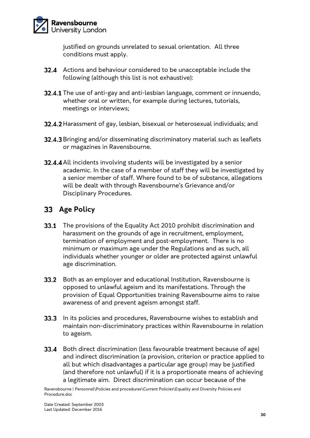

justified on grounds unrelated to sexual orientation. All three conditions must apply.

- **32.4** Actions and behaviour considered to be unacceptable include the following (although this list is not exhaustive):
- 32.4.1 The use of anti-gay and anti-lesbian language, comment or innuendo, whether oral or written, for example during lectures, tutorials, meetings or interviews;
- 32.4.2 Harassment of gay, lesbian, bisexual or heterosexual individuals; and
- 32.4.3 Bringing and/or disseminating discriminatory material such as leaflets or magazines in Ravensbourne.
- 32.4.4 All incidents involving students will be investigated by a senior academic. In the case of a member of staff they will be investigated by a senior member of staff. Where found to be of substance, allegations will be dealt with through Ravensbourne's Grievance and/or Disciplinary Procedures.

### **Age Policy**

- **33.1** The provisions of the Equality Act 2010 prohibit discrimination and harassment on the grounds of age in recruitment, employment, termination of employment and post-employment. There is no minimum or maximum age under the Regulations and as such, all individuals whether younger or older are protected against unlawful age discrimination.
- 33.2 Both as an employer and educational Institution, Ravensbourne is opposed to unlawful ageism and its manifestations. Through the provision of Equal Opportunities training Ravensbourne aims to raise awareness of and prevent ageism amongst staff.
- **33.3** In its policies and procedures, Ravensbourne wishes to establish and maintain non-discriminatory practices within Ravensbourne in relation to ageism.
- **33.4** Both direct discrimination (less favourable treatment because of age) and indirect discrimination (a provision, criterion or practice applied to all but which disadvantages a particular age group) may be justified (and therefore not unlawful) if it is a proportionate means of achieving a legitimate aim. Direct discrimination can occur because of the

Ravensbourne | Personnel\Policies and procedures\Current Policies\Equality and Diversity Policies and Procedure.doc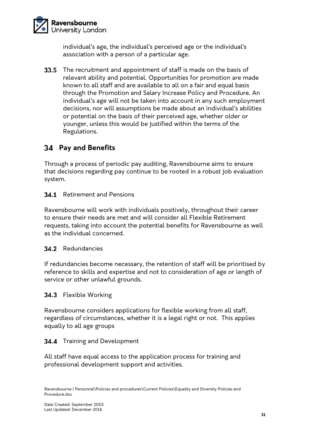

individual's age, the individual's perceived age or the individual's association with a person of a particular age.

33.5 The recruitment and appointment of staff is made on the basis of relevant ability and potential. Opportunities for promotion are made known to all staff and are available to all on a fair and equal basis through the Promotion and Salary Increase Policy and Procedure. An individual's age will not be taken into account in any such employment decisions, nor will assumptions be made about an individual's abilities or potential on the basis of their perceived age, whether older or younger, unless this would be justified within the terms of the Regulations.

# **Pay and Benefits**

Through a process of periodic pay auditing, Ravensbourne aims to ensure that decisions regarding pay continue to be rooted in a robust job evaluation system.

#### **34.1** Retirement and Pensions

Ravensbourne will work with individuals positively, throughout their career to ensure their needs are met and will consider all Flexible Retirement requests, taking into account the potential benefits for Ravensbourne as well as the individual concerned.

#### 34.2 Redundancies

If redundancies become necessary, the retention of staff will be prioritised by reference to skills and expertise and not to consideration of age or length of service or other unlawful grounds.

#### 34.3 Flexible Working

Ravensbourne considers applications for flexible working from all staff, regardless of circumstances, whether it is a legal right or not. This applies equally to all age groups

#### 34.4 Training and Development

All staff have equal access to the application process for training and professional development support and activities.

Ravensbourne | Personnel\Policies and procedures\Current Policies\Equality and Diversity Policies and Procedure.doc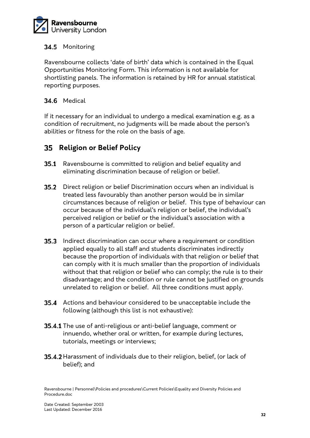

#### 34.5 Monitoring

Ravensbourne collects 'date of birth' data which is contained in the Equal Opportunities Monitoring Form. This information is not available for shortlisting panels. The information is retained by HR for annual statistical reporting purposes.

#### 34.6 Medical

If it necessary for an individual to undergo a medical examination e.g. as a condition of recruitment, no judgments will be made about the person's abilities or fitness for the role on the basis of age.

### **Religion or Belief Policy**

- **35.1** Ravensbourne is committed to religion and belief equality and eliminating discrimination because of religion or belief.
- **35.2** Direct religion or belief Discrimination occurs when an individual is treated less favourably than another person would be in similar circumstances because of religion or belief. This type of behaviour can occur because of the individual's religion or belief, the individual's perceived religion or belief or the individual's association with a person of a particular religion or belief.
- **35.3** Indirect discrimination can occur where a requirement or condition applied equally to all staff and students discriminates indirectly because the proportion of individuals with that religion or belief that can comply with it is much smaller than the proportion of individuals without that that religion or belief who can comply; the rule is to their disadvantage; and the condition or rule cannot be justified on grounds unrelated to religion or belief. All three conditions must apply.
- **35.4** Actions and behaviour considered to be unacceptable include the following (although this list is not exhaustive):
- 35.4.1 The use of anti-religious or anti-belief language, comment or innuendo, whether oral or written, for example during lectures, tutorials, meetings or interviews;
- 35.4.2 Harassment of individuals due to their religion, belief, (or lack of belief); and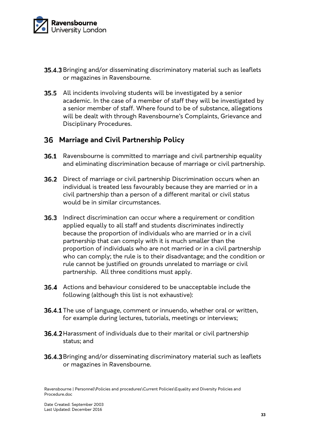

- **35.4.3** Bringing and/or disseminating discriminatory material such as leaflets or magazines in Ravensbourne.
- 35.5 All incidents involving students will be investigated by a senior academic. In the case of a member of staff they will be investigated by a senior member of staff. Where found to be of substance, allegations will be dealt with through Ravensbourne's Complaints, Grievance and Disciplinary Procedures.

### **Marriage and Civil Partnership Policy**

- **36.1** Ravensbourne is committed to marriage and civil partnership equality and eliminating discrimination because of marriage or civil partnership.
- 36.2 Direct of marriage or civil partnership Discrimination occurs when an individual is treated less favourably because they are married or in a civil partnership than a person of a different marital or civil status would be in similar circumstances.
- **36.3** Indirect discrimination can occur where a requirement or condition applied equally to all staff and students discriminates indirectly because the proportion of individuals who are married or in a civil partnership that can comply with it is much smaller than the proportion of individuals who are not married or in a civil partnership who can comply; the rule is to their disadvantage; and the condition or rule cannot be justified on grounds unrelated to marriage or civil partnership. All three conditions must apply.
- 36.4 Actions and behaviour considered to be unacceptable include the following (although this list is not exhaustive):
- 36.4.1 The use of language, comment or innuendo, whether oral or written, for example during lectures, tutorials, meetings or interviews;
- 36.4.2 Harassment of individuals due to their marital or civil partnership status; and
- 36.4.3 Bringing and/or disseminating discriminatory material such as leaflets or magazines in Ravensbourne.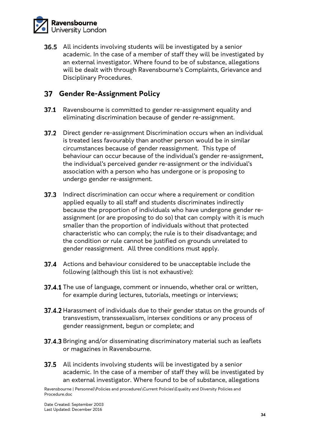

**36.5** All incidents involving students will be investigated by a senior academic. In the case of a member of staff they will be investigated by an external investigator. Where found to be of substance, allegations will be dealt with through Ravensbourne's Complaints, Grievance and Disciplinary Procedures.

### **Gender Re-Assignment Policy**

- **37.1** Ravensbourne is committed to gender re-assignment equality and eliminating discrimination because of gender re-assignment.
- 37.2 Direct gender re-assignment Discrimination occurs when an individual is treated less favourably than another person would be in similar circumstances because of gender reassignment. This type of behaviour can occur because of the individual's gender re-assignment, the individual's perceived gender re-assignment or the individual's association with a person who has undergone or is proposing to undergo gender re-assignment.
- 37.3 Indirect discrimination can occur where a requirement or condition applied equally to all staff and students discriminates indirectly because the proportion of individuals who have undergone gender reassignment (or are proposing to do so) that can comply with it is much smaller than the proportion of individuals without that protected characteristic who can comply; the rule is to their disadvantage; and the condition or rule cannot be justified on grounds unrelated to gender reassignment. All three conditions must apply.
- 37.4 Actions and behaviour considered to be unacceptable include the following (although this list is not exhaustive):
- 37.4.1 The use of language, comment or innuendo, whether oral or written, for example during lectures, tutorials, meetings or interviews;
- 37.4.2 Harassment of individuals due to their gender status on the grounds of transvestism, transsexualism, intersex conditions or any process of gender reassignment, begun or complete; and
- 37.4.3 Bringing and/or disseminating discriminatory material such as leaflets or magazines in Ravensbourne.
- **37.5** All incidents involving students will be investigated by a senior academic. In the case of a member of staff they will be investigated by an external investigator. Where found to be of substance, allegations

Ravensbourne | Personnel\Policies and procedures\Current Policies\Equality and Diversity Policies and Procedure.doc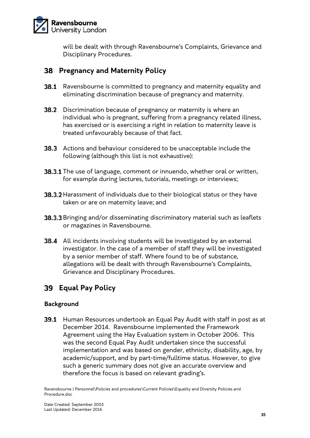

will be dealt with through Ravensbourne's Complaints, Grievance and Disciplinary Procedures.

# **Pregnancy and Maternity Policy**

- **38.1** Ravensbourne is committed to pregnancy and maternity equality and eliminating discrimination because of pregnancy and maternity.
- **38.2** Discrimination because of pregnancy or maternity is where an individual who is pregnant, suffering from a pregnancy related illness, has exercised or is exercising a right in relation to maternity leave is treated unfavourably because of that fact.
- **38.3** Actions and behaviour considered to be unacceptable include the following (although this list is not exhaustive):
- 38.3.1 The use of language, comment or innuendo, whether oral or written, for example during lectures, tutorials, meetings or interviews;
- **38.3.2** Harassment of individuals due to their biological status or they have taken or are on maternity leave; and
- **38.3.3** Bringing and/or disseminating discriminatory material such as leaflets or magazines in Ravensbourne.
- 38.4 All incidents involving students will be investigated by an external investigator. In the case of a member of staff they will be investigated by a senior member of staff. Where found to be of substance, allegations will be dealt with through Ravensbourne's Complaints, Grievance and Disciplinary Procedures.

# **Equal Pay Policy**

#### **Background**

39.1 Human Resources undertook an Equal Pay Audit with staff in post as at December 2014. Ravensbourne implemented the Framework Agreement using the Hay Evaluation system in October 2006. This was the second Equal Pay Audit undertaken since the successful implementation and was based on gender, ethnicity, disability, age, by academic/support, and by part-time/fulltime status. However, to give such a generic summary does not give an accurate overview and therefore the focus is based on relevant grading's.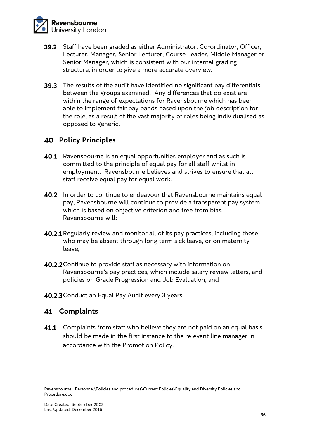

- **39.2** Staff have been graded as either Administrator, Co-ordinator, Officer, Lecturer, Manager, Senior Lecturer, Course Leader, Middle Manager or Senior Manager, which is consistent with our internal grading structure, in order to give a more accurate overview.
- 39.3 The results of the audit have identified no significant pay differentials between the groups examined. Any differences that do exist are within the range of expectations for Ravensbourne which has been able to implement fair pay bands based upon the job description for the role, as a result of the vast majority of roles being individualised as opposed to generic.

### **Policy Principles**

- 40.1 Ravensbourne is an equal opportunities employer and as such is committed to the principle of equal pay for all staff whilst in employment. Ravensbourne believes and strives to ensure that all staff receive equal pay for equal work.
- **40.2** In order to continue to endeavour that Ravensbourne maintains equal pay, Ravensbourne will continue to provide a transparent pay system which is based on objective criterion and free from bias. Ravensbourne will:
- **40.2.1** Regularly review and monitor all of its pay practices, including those who may be absent through long term sick leave, or on maternity leave;
- 40.2.2 Continue to provide staff as necessary with information on Ravensbourne's pay practices, which include salary review letters, and policies on Grade Progression and Job Evaluation; and
- 40.2.3 Conduct an Equal Pay Audit every 3 years.

### **Complaints**

41.1 Complaints from staff who believe they are not paid on an equal basis should be made in the first instance to the relevant line manager in accordance with the Promotion Policy.

Ravensbourne | Personnel\Policies and procedures\Current Policies\Equality and Diversity Policies and Procedure.doc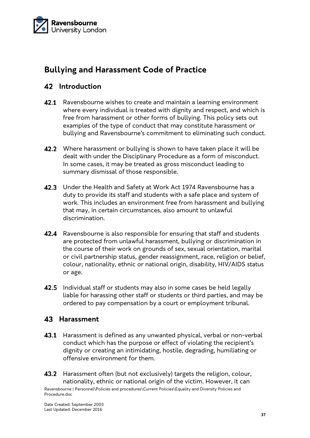

# **Bullying and Harassment Code of Practice**

# **42** Introduction

- 42.1 Ravensbourne wishes to create and maintain a learning environment where every individual is treated with dignity and respect, and which is free from harassment or other forms of bullying. This policy sets out examples of the type of conduct that may constitute harassment or bullying and Ravensbourne's commitment to eliminating such conduct.
- **42.2** Where harassment or bullying is shown to have taken place it will be dealt with under the Disciplinary Procedure as a form of misconduct. In some cases, it may be treated as gross misconduct leading to summary dismissal of those responsible.
- 42.3 Under the Health and Safety at Work Act 1974 Ravensbourne has a duty to provide its staff and students with a safe place and system of work. This includes an environment free from harassment and bullying that may, in certain circumstances, also amount to unlawful discrimination.
- 42.4 Ravensbourne is also responsible for ensuring that staff and students are protected from unlawful harassment, bullying or discrimination in the course of their work on grounds of sex, sexual orientation, marital or civil partnership status, gender reassignment, race, religion or belief, colour, nationality, ethnic or national origin, disability, HIV/AIDS status or age.
- 42.5 Individual staff or students may also in some cases be held legally liable for harassing other staff or students or third parties, and may be ordered to pay compensation by a court or employment tribunal.

#### **Harassment**

- 43.1 Harassment is defined as any unwanted physical, verbal or non-verbal conduct which has the purpose or effect of violating the recipient's dignity or creating an intimidating, hostile, degrading, humiliating or offensive environment for them.
- **43.2** Harassment often (but not exclusively) targets the religion, colour, nationality, ethnic or national origin of the victim. However, it can

Ravensbourne | Personnel\Policies and procedures\Current Policies\Equality and Diversity Policies and Procedure.doc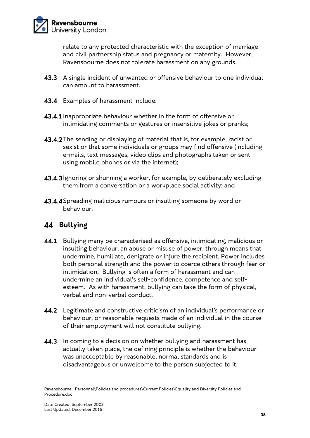

relate to any protected characteristic with the exception of marriage and civil partnership status and pregnancy or maternity. However, Ravensbourne does not tolerate harassment on any grounds.

- 43.3 A single incident of unwanted or offensive behaviour to one individual can amount to harassment.
- 43.4 Examples of harassment include:
- **43.4.1** Inappropriate behaviour whether in the form of offensive or intimidating comments or gestures or insensitive jokes or pranks;
- 43.4.2 The sending or displaying of material that is, for example, racist or sexist or that some individuals or groups may find offensive (including e-mails, text messages, video clips and photographs taken or sent using mobile phones or via the internet);
- **43.4.3** Ignoring or shunning a worker, for example, by deliberately excluding them from a conversation or a workplace social activity; and
- **43.4.4** Spreading malicious rumours or insulting someone by word or behaviour.

# **Bullying**

- **44.1** Bullying many be characterised as offensive, intimidating, malicious or insulting behaviour, an abuse or misuse of power, through means that undermine, humiliate, denigrate or injure the recipient. Power includes both personal strength and the power to coerce others through fear or intimidation. Bullying is often a form of harassment and can undermine an individual's self-confidence, competence and selfesteem. As with harassment, bullying can take the form of physical, verbal and non-verbal conduct.
- **44.2** Legitimate and constructive criticism of an individual's performance or behaviour, or reasonable requests made of an individual in the course of their employment will not constitute bullying.
- 44.3 In coming to a decision on whether bullying and harassment has actually taken place, the defining principle is whether the behaviour was unacceptable by reasonable, normal standards and is disadvantageous or unwelcome to the person subjected to it.

Ravensbourne | Personnel\Policies and procedures\Current Policies\Equality and Diversity Policies and Procedure.doc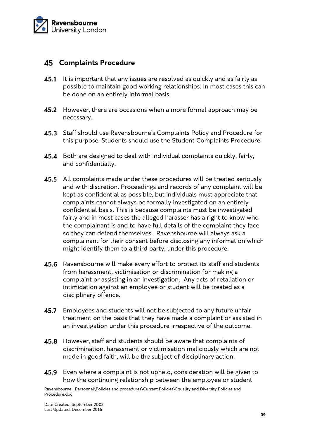

#### **Complaints Procedure**

- **45.1** It is important that any issues are resolved as quickly and as fairly as possible to maintain good working relationships. In most cases this can be done on an entirely informal basis.
- 45.2 However, there are occasions when a more formal approach may be necessary.
- 45.3 Staff should use Ravensbourne's Complaints Policy and Procedure for this purpose. Students should use the Student Complaints Procedure.
- 45.4 Both are designed to deal with individual complaints quickly, fairly, and confidentially.
- 45.5 All complaints made under these procedures will be treated seriously and with discretion. Proceedings and records of any complaint will be kept as confidential as possible, but individuals must appreciate that complaints cannot always be formally investigated on an entirely confidential basis. This is because complaints must be investigated fairly and in most cases the alleged harasser has a right to know who the complainant is and to have full details of the complaint they face so they can defend themselves. Ravensbourne will always ask a complainant for their consent before disclosing any information which might identify them to a third party, under this procedure.
- 45.6 Ravensbourne will make every effort to protect its staff and students from harassment, victimisation or discrimination for making a complaint or assisting in an investigation. Any acts of retaliation or intimidation against an employee or student will be treated as a disciplinary offence.
- **45.7** Employees and students will not be subjected to any future unfair treatment on the basis that they have made a complaint or assisted in an investigation under this procedure irrespective of the outcome.
- 45.8 However, staff and students should be aware that complaints of discrimination, harassment or victimisation maliciously which are not made in good faith, will be the subject of disciplinary action.
- 45.9 Even where a complaint is not upheld, consideration will be given to how the continuing relationship between the employee or student

Ravensbourne | Personnel\Policies and procedures\Current Policies\Equality and Diversity Policies and Procedure.doc